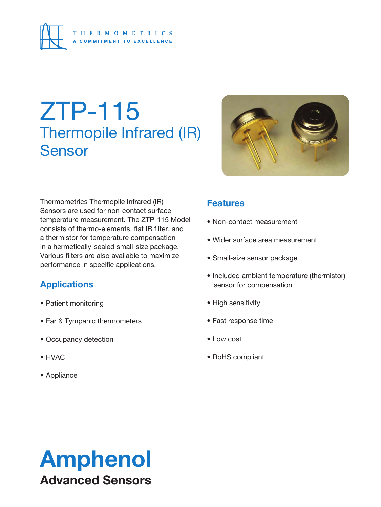

# ZTP-115 Thermopile Infrared (IR) **Sensor**



Thermometrics Thermopile Infrared (IR) Sensors are used for non-contact surface temperature measurement. The ZTP-115 Model consists of thermo-elements, flat IR filter, and a thermistor for temperature compensation in a hermetically-sealed small-size package. Various filters are also available to maximize performance in specific applications.

#### **Applications**

- Patient monitoring
- Ear & Tympanic thermometers
- Occupancy detection
- HVAC
- Appliance

#### **Features**

- Non-contact measurement
- Wider surface area measurement
- Small-size sensor package
- Included ambient temperature (thermistor) sensor for compensation
- High sensitivity
- Fast response time
- Low cost
- RoHS compliant

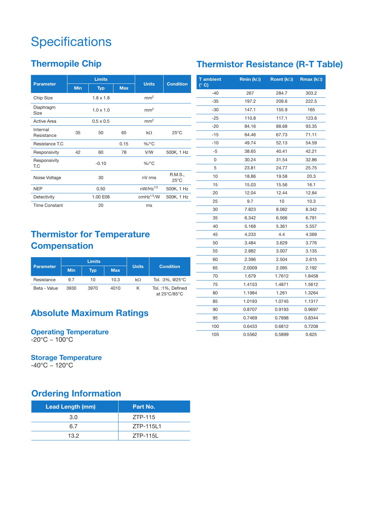## **Specifications**

#### **Thermopile Chip**

|                        | <b>Limits</b> |                  |            |                 |                           |
|------------------------|---------------|------------------|------------|-----------------|---------------------------|
| <b>Parameter</b>       | <b>Min</b>    | <b>Typ</b>       | <b>Max</b> | <b>Units</b>    | <b>Condition</b>          |
| Chip Size              |               | $1.8 \times 1.8$ |            | mm <sup>2</sup> |                           |
| Diaphragm<br>Size      |               | $1.0 \times 1.0$ |            | mm <sup>2</sup> |                           |
| Active Area            |               | $0.5 \times 0.5$ |            | mm <sup>2</sup> |                           |
| Internal<br>Resistance | 35            | 50               | 65         | $k\Omega$       | $25^{\circ}$ C            |
| Resistance T.C         |               |                  | 0.15       | $\%$ /°C        |                           |
| Responsivity           | 42            | 60               | 78         | V/W             | 500K, 1 Hz                |
| Responsivity<br>T.C    |               | $-0.10$          |            | $\%$ /°C        |                           |
| Noise Voltage          |               | 30               |            | nV rms          | R.M.S.,<br>$25^{\circ}$ C |
| <b>NEP</b>             |               | 0.50             |            | $nW/Hz^{1/2}$   | 500K, 1 Hz                |
| Detectivity            |               | 1.00 E08         |            | $cmHz^{1/2}/W$  | 500K, 1 Hz                |
| <b>Time Constant</b>   |               | 20               |            | ms              |                           |

### **Thermistor for Temperature Compensation**

| <b>Parameter</b> | <b>Limits</b> |      |            |              |                                   |
|------------------|---------------|------|------------|--------------|-----------------------------------|
|                  | <b>Min</b>    | Typ  | <b>Max</b> | <b>Units</b> | <b>Condition</b>                  |
| Resistance       | 97            | 10   | 10.3       | $k\Omega$    | Tol.:3%, @25°C                    |
| Beta - Value     | 3930          | 3970 | 4010       | ĸ            | Tol.: 1%. Defined<br>at 25°C/85°C |

#### **Absolute Maximum Ratings**

#### **Operating Temperature**  $-20^{\circ}$ C ~ 100 $^{\circ}$ C

**Storage Temperature**

 $-40^{\circ}$ C ~ 120 $^{\circ}$ C

#### **Ordering Information**

| <b>Lead Length (mm)</b> | Part No.  |  |  |
|-------------------------|-----------|--|--|
| 3.0                     | 7TP-115   |  |  |
| 67                      | ZTP-115L1 |  |  |
| 13.2                    | 7TP-115L  |  |  |

#### **Thermistor Resistance (R-T Table)**

| <b>T</b> ambient<br>$(^{\circ}C)$ | <b>Rmin (k</b> $\Omega$ ) | Rcent (k $\Omega$ ) | <b>Rmax</b> ( $k\Omega$ ) |
|-----------------------------------|---------------------------|---------------------|---------------------------|
| $-40$                             | 267                       | 284.7               | 303.2                     |
| $-35$                             | 197.2                     | 209.6               | 222.5                     |
| $-30$                             | 147.1                     | 155.9               | 165                       |
| $-25$                             | 110.8                     | 117.1               | 123.6                     |
| -20                               | 84.16                     | 88.68               | 93.35                     |
| $-15$                             | 64.46                     | 67.73               | 71.11                     |
| -10                               | 49.74                     | 52.13               | 54.59                     |
| -5                                | 38.65                     | 40.41               | 42.21                     |
| 0                                 | 30.24                     | 31.54               | 32.86                     |
| 5                                 | 23.81                     | 24.77               | 25.75                     |
| 10                                | 18.86                     | 19.58               | 20.3                      |
| 15                                | 15.03                     | 15.56               | 16.1                      |
| 20                                | 12.04                     | 12.44               | 12.84                     |
| 25                                | 9.7                       | 10                  | 10.3                      |
| 30                                | 7.823                     | 8.082               | 8.342                     |
| 35                                | 6.342                     | 6.566               | 6.791                     |
| 40                                | 5.168                     | 5.361               | 5.557                     |
| 45                                | 4.233                     | 4.4                 | 4.569                     |
| 50                                | 3.484                     | 3.629               | 3.776                     |
| 55                                | 2.882                     | 3.007               | 3.135                     |
| 60                                | 2.396                     | 2.504               | 2.615                     |
| 65                                | 2.0009                    | 2.095               | 2.192                     |
| 70                                | 1.679                     | 1.7612              | 1.8458                    |
| 75                                | 1.4153                    | 1.4871              | 1.5612                    |
| 80                                | 1.1984                    | 1.261               | 1.3264                    |
| 85                                | 1.0193                    | 1.0745              | 1.1317                    |
| 90                                | 0.8707                    | 0.9193              | 0.9697                    |
| 95                                | 0.7469                    | 0.7898              | 0.8344                    |
| 100                               | 0.6433                    | 0.6812              | 0.7208                    |
| 105                               | 0.5562                    | 0.5899              | 0.625                     |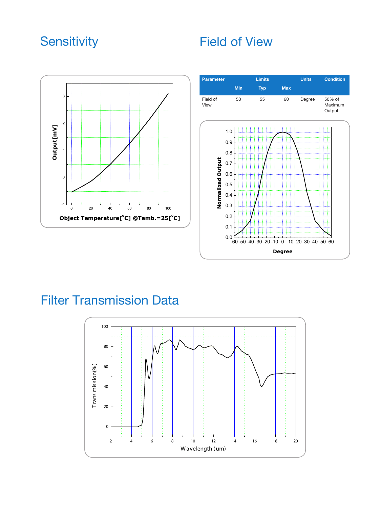### Sensitivity Field of View

**Degree**



### Filter Transmission Data